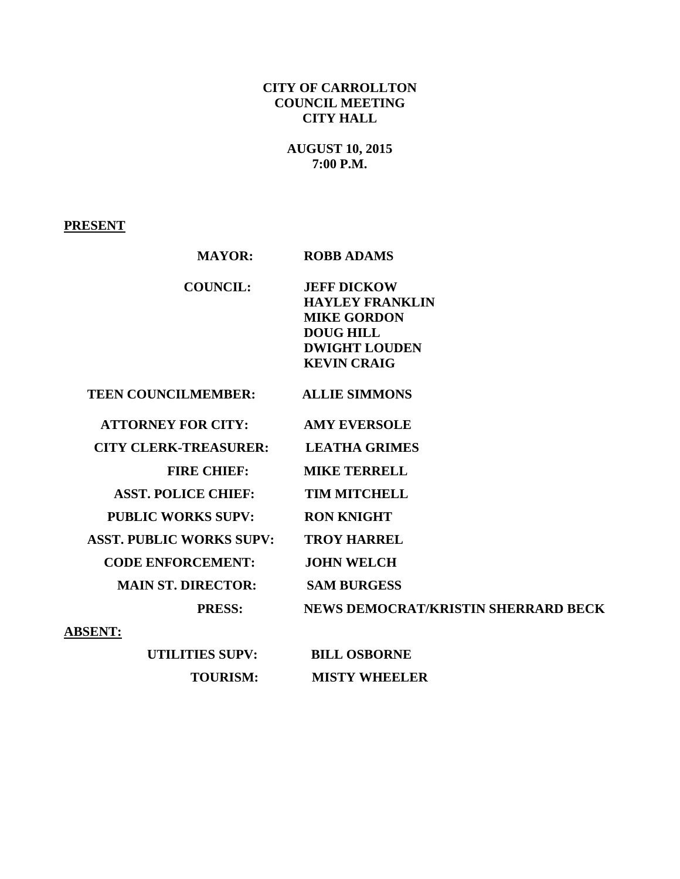## **CITY OF CARROLLTON COUNCIL MEETING CITY HALL**

# **AUGUST 10, 2015 7:00 P.M.**

# **PRESENT**

| <b>MAYOR:</b>                   | <b>ROBB ADAMS</b>                          |
|---------------------------------|--------------------------------------------|
| <b>COUNCIL:</b>                 | <b>JEFF DICKOW</b>                         |
|                                 | <b>HAYLEY FRANKLIN</b>                     |
|                                 | <b>MIKE GORDON</b>                         |
|                                 | <b>DOUG HILL</b>                           |
|                                 | <b>DWIGHT LOUDEN</b>                       |
|                                 | <b>KEVIN CRAIG</b>                         |
| <b>TEEN COUNCILMEMBER:</b>      | <b>ALLIE SIMMONS</b>                       |
| <b>ATTORNEY FOR CITY:</b>       | <b>AMY EVERSOLE</b>                        |
| <b>CITY CLERK-TREASURER:</b>    | <b>LEATHA GRIMES</b>                       |
| <b>FIRE CHIEF:</b>              | <b>MIKE TERRELL</b>                        |
| <b>ASST. POLICE CHIEF:</b>      | <b>TIM MITCHELL</b>                        |
| <b>PUBLIC WORKS SUPV:</b>       | <b>RON KNIGHT</b>                          |
| <b>ASST. PUBLIC WORKS SUPV:</b> | <b>TROY HARREL</b>                         |
| <b>CODE ENFORCEMENT:</b>        | <b>JOHN WELCH</b>                          |
| <b>MAIN ST. DIRECTOR:</b>       | <b>SAM BURGESS</b>                         |
| <b>PRESS:</b>                   | <b>NEWS DEMOCRAT/KRISTIN SHERRARD BECK</b> |
| <b>ABSENT:</b>                  |                                            |
| <b>UTILITIES SUPV:</b>          | <b>BILL OSBORNE</b>                        |

 **TOURISM: MISTY WHEELER**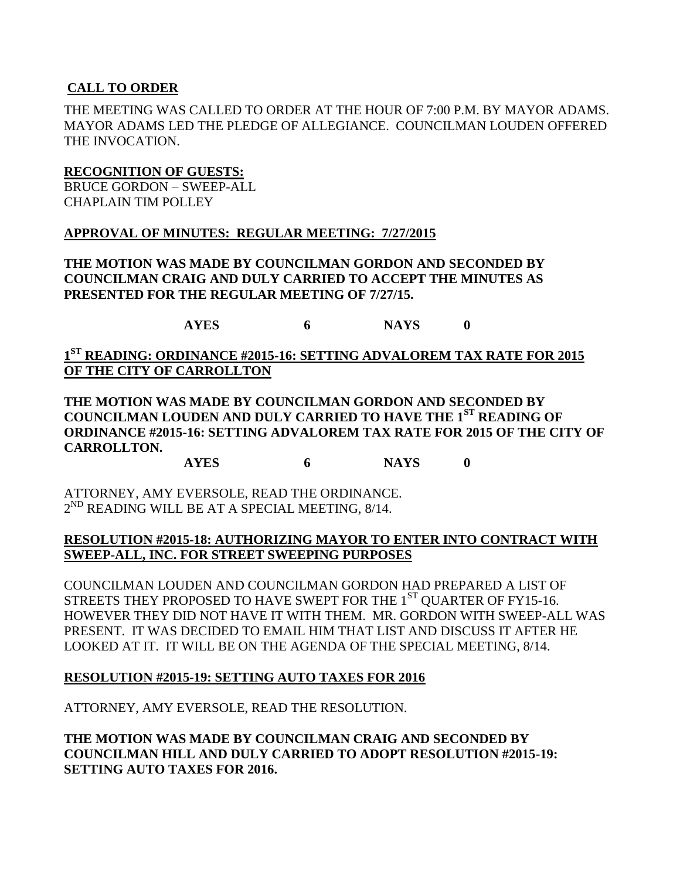### **CALL TO ORDER**

THE MEETING WAS CALLED TO ORDER AT THE HOUR OF 7:00 P.M. BY MAYOR ADAMS. MAYOR ADAMS LED THE PLEDGE OF ALLEGIANCE. COUNCILMAN LOUDEN OFFERED THE INVOCATION.

#### **RECOGNITION OF GUESTS:**

BRUCE GORDON – SWEEP-ALL CHAPLAIN TIM POLLEY

#### **APPROVAL OF MINUTES: REGULAR MEETING: 7/27/2015**

**THE MOTION WAS MADE BY COUNCILMAN GORDON AND SECONDED BY COUNCILMAN CRAIG AND DULY CARRIED TO ACCEPT THE MINUTES AS PRESENTED FOR THE REGULAR MEETING OF 7/27/15.**

**AYES 6 NAYS 0**

**1 ST READING: ORDINANCE #2015-16: SETTING ADVALOREM TAX RATE FOR 2015 OF THE CITY OF CARROLLTON**

**THE MOTION WAS MADE BY COUNCILMAN GORDON AND SECONDED BY COUNCILMAN LOUDEN AND DULY CARRIED TO HAVE THE 1ST READING OF ORDINANCE #2015-16: SETTING ADVALOREM TAX RATE FOR 2015 OF THE CITY OF CARROLLTON.**

**AYES 6 NAYS 0**

ATTORNEY, AMY EVERSOLE, READ THE ORDINANCE.  $2^{ND}$  READING WILL BE AT A SPECIAL MEETING,  $8/14$ .

#### **RESOLUTION #2015-18: AUTHORIZING MAYOR TO ENTER INTO CONTRACT WITH SWEEP-ALL, INC. FOR STREET SWEEPING PURPOSES**

COUNCILMAN LOUDEN AND COUNCILMAN GORDON HAD PREPARED A LIST OF STREETS THEY PROPOSED TO HAVE SWEPT FOR THE  $1<sup>ST</sup>$  OUARTER OF FY15-16. HOWEVER THEY DID NOT HAVE IT WITH THEM. MR. GORDON WITH SWEEP-ALL WAS PRESENT. IT WAS DECIDED TO EMAIL HIM THAT LIST AND DISCUSS IT AFTER HE LOOKED AT IT. IT WILL BE ON THE AGENDA OF THE SPECIAL MEETING, 8/14.

#### **RESOLUTION #2015-19: SETTING AUTO TAXES FOR 2016**

ATTORNEY, AMY EVERSOLE, READ THE RESOLUTION.

**THE MOTION WAS MADE BY COUNCILMAN CRAIG AND SECONDED BY COUNCILMAN HILL AND DULY CARRIED TO ADOPT RESOLUTION #2015-19: SETTING AUTO TAXES FOR 2016.**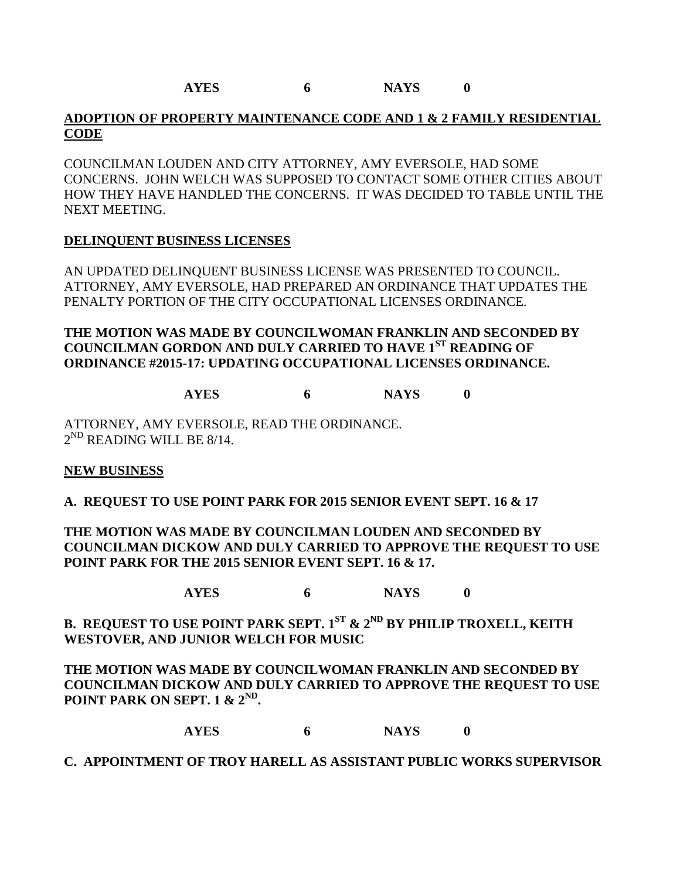## **ADOPTION OF PROPERTY MAINTENANCE CODE AND 1 & 2 FAMILY RESIDENTIAL CODE**

COUNCILMAN LOUDEN AND CITY ATTORNEY, AMY EVERSOLE, HAD SOME CONCERNS. JOHN WELCH WAS SUPPOSED TO CONTACT SOME OTHER CITIES ABOUT HOW THEY HAVE HANDLED THE CONCERNS. IT WAS DECIDED TO TABLE UNTIL THE NEXT MEETING.

## **DELINQUENT BUSINESS LICENSES**

AN UPDATED DELINQUENT BUSINESS LICENSE WAS PRESENTED TO COUNCIL. ATTORNEY, AMY EVERSOLE, HAD PREPARED AN ORDINANCE THAT UPDATES THE PENALTY PORTION OF THE CITY OCCUPATIONAL LICENSES ORDINANCE.

**THE MOTION WAS MADE BY COUNCILWOMAN FRANKLIN AND SECONDED BY COUNCILMAN GORDON AND DULY CARRIED TO HAVE 1ST READING OF ORDINANCE #2015-17: UPDATING OCCUPATIONAL LICENSES ORDINANCE.**

**AYES 6 NAYS 0**

ATTORNEY, AMY EVERSOLE, READ THE ORDINANCE.  $2^{\text{ND}}$  READING WILL BE 8/14.

## **NEW BUSINESS**

**A. REQUEST TO USE POINT PARK FOR 2015 SENIOR EVENT SEPT. 16 & 17**

**THE MOTION WAS MADE BY COUNCILMAN LOUDEN AND SECONDED BY COUNCILMAN DICKOW AND DULY CARRIED TO APPROVE THE REQUEST TO USE POINT PARK FOR THE 2015 SENIOR EVENT SEPT. 16 & 17.**

**AYES 6 NAYS 0**

**B. REQUEST TO USE POINT PARK SEPT. 1ST & 2ND BY PHILIP TROXELL, KEITH WESTOVER, AND JUNIOR WELCH FOR MUSIC**

**THE MOTION WAS MADE BY COUNCILWOMAN FRANKLIN AND SECONDED BY COUNCILMAN DICKOW AND DULY CARRIED TO APPROVE THE REQUEST TO USE POINT PARK ON SEPT. 1 & 2<sup>ND</sup>.** 

**AYES 6 NAYS 0**

## **C. APPOINTMENT OF TROY HARELL AS ASSISTANT PUBLIC WORKS SUPERVISOR**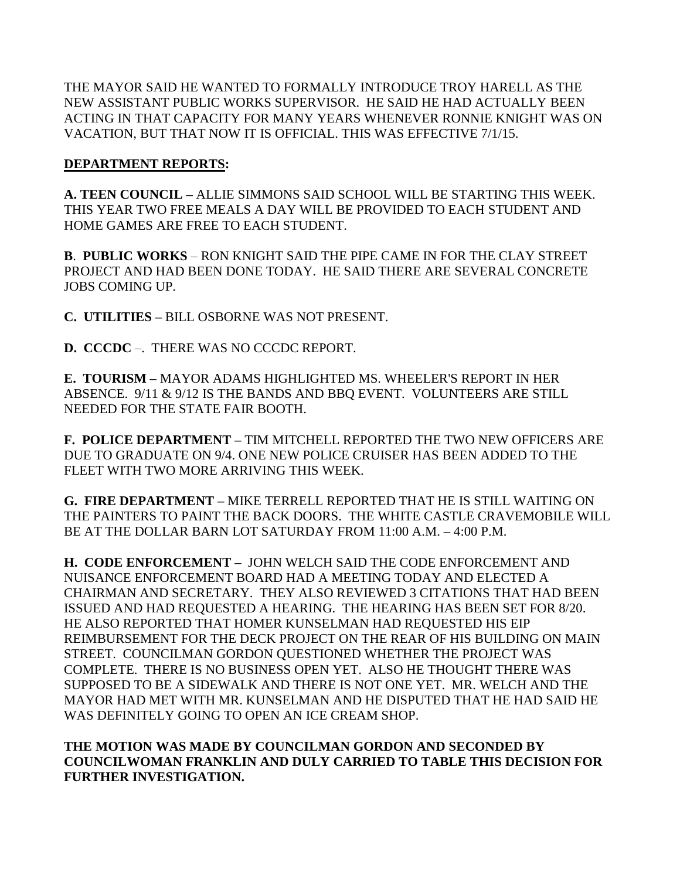THE MAYOR SAID HE WANTED TO FORMALLY INTRODUCE TROY HARELL AS THE NEW ASSISTANT PUBLIC WORKS SUPERVISOR. HE SAID HE HAD ACTUALLY BEEN ACTING IN THAT CAPACITY FOR MANY YEARS WHENEVER RONNIE KNIGHT WAS ON VACATION, BUT THAT NOW IT IS OFFICIAL. THIS WAS EFFECTIVE 7/1/15.

## **DEPARTMENT REPORTS:**

**A. TEEN COUNCIL –** ALLIE SIMMONS SAID SCHOOL WILL BE STARTING THIS WEEK. THIS YEAR TWO FREE MEALS A DAY WILL BE PROVIDED TO EACH STUDENT AND HOME GAMES ARE FREE TO EACH STUDENT.

**B**. **PUBLIC WORKS** – RON KNIGHT SAID THE PIPE CAME IN FOR THE CLAY STREET PROJECT AND HAD BEEN DONE TODAY. HE SAID THERE ARE SEVERAL CONCRETE JOBS COMING UP.

**C. UTILITIES –** BILL OSBORNE WAS NOT PRESENT.

**D. CCCDC** –. THERE WAS NO CCCDC REPORT.

**E. TOURISM –** MAYOR ADAMS HIGHLIGHTED MS. WHEELER'S REPORT IN HER ABSENCE. 9/11 & 9/12 IS THE BANDS AND BBQ EVENT. VOLUNTEERS ARE STILL NEEDED FOR THE STATE FAIR BOOTH.

**F. POLICE DEPARTMENT –** TIM MITCHELL REPORTED THE TWO NEW OFFICERS ARE DUE TO GRADUATE ON 9/4. ONE NEW POLICE CRUISER HAS BEEN ADDED TO THE FLEET WITH TWO MORE ARRIVING THIS WEEK.

**G. FIRE DEPARTMENT –** MIKE TERRELL REPORTED THAT HE IS STILL WAITING ON THE PAINTERS TO PAINT THE BACK DOORS. THE WHITE CASTLE CRAVEMOBILE WILL BE AT THE DOLLAR BARN LOT SATURDAY FROM 11:00 A.M. – 4:00 P.M.

**H. CODE ENFORCEMENT –** JOHN WELCH SAID THE CODE ENFORCEMENT AND NUISANCE ENFORCEMENT BOARD HAD A MEETING TODAY AND ELECTED A CHAIRMAN AND SECRETARY. THEY ALSO REVIEWED 3 CITATIONS THAT HAD BEEN ISSUED AND HAD REQUESTED A HEARING. THE HEARING HAS BEEN SET FOR 8/20. HE ALSO REPORTED THAT HOMER KUNSELMAN HAD REQUESTED HIS EIP REIMBURSEMENT FOR THE DECK PROJECT ON THE REAR OF HIS BUILDING ON MAIN STREET. COUNCILMAN GORDON QUESTIONED WHETHER THE PROJECT WAS COMPLETE. THERE IS NO BUSINESS OPEN YET. ALSO HE THOUGHT THERE WAS SUPPOSED TO BE A SIDEWALK AND THERE IS NOT ONE YET. MR. WELCH AND THE MAYOR HAD MET WITH MR. KUNSELMAN AND HE DISPUTED THAT HE HAD SAID HE WAS DEFINITELY GOING TO OPEN AN ICE CREAM SHOP.

## **THE MOTION WAS MADE BY COUNCILMAN GORDON AND SECONDED BY COUNCILWOMAN FRANKLIN AND DULY CARRIED TO TABLE THIS DECISION FOR FURTHER INVESTIGATION.**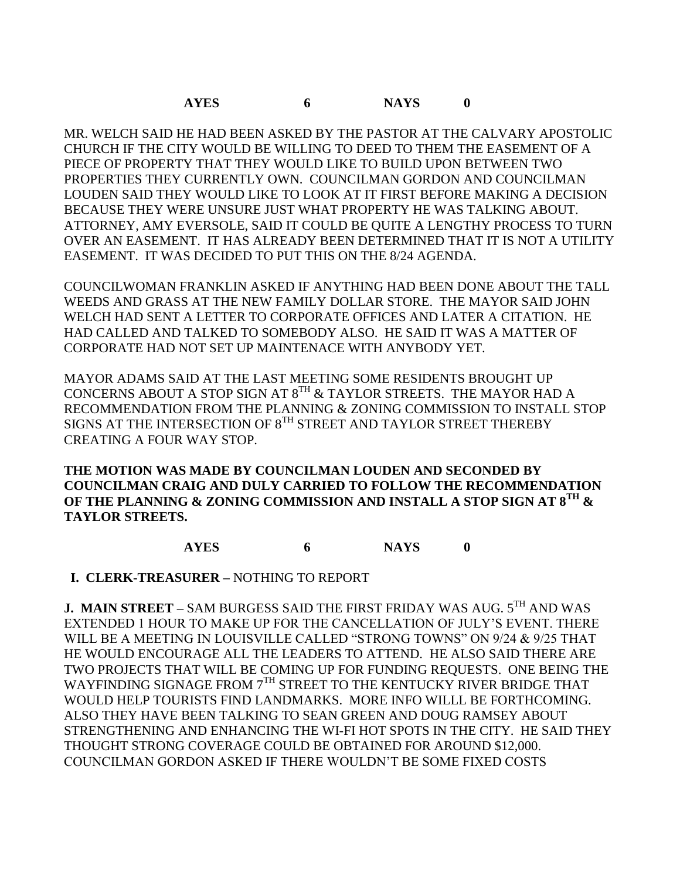**AYES 6 NAYS 0**

MR. WELCH SAID HE HAD BEEN ASKED BY THE PASTOR AT THE CALVARY APOSTOLIC CHURCH IF THE CITY WOULD BE WILLING TO DEED TO THEM THE EASEMENT OF A PIECE OF PROPERTY THAT THEY WOULD LIKE TO BUILD UPON BETWEEN TWO PROPERTIES THEY CURRENTLY OWN. COUNCILMAN GORDON AND COUNCILMAN LOUDEN SAID THEY WOULD LIKE TO LOOK AT IT FIRST BEFORE MAKING A DECISION BECAUSE THEY WERE UNSURE JUST WHAT PROPERTY HE WAS TALKING ABOUT. ATTORNEY, AMY EVERSOLE, SAID IT COULD BE QUITE A LENGTHY PROCESS TO TURN OVER AN EASEMENT. IT HAS ALREADY BEEN DETERMINED THAT IT IS NOT A UTILITY EASEMENT. IT WAS DECIDED TO PUT THIS ON THE 8/24 AGENDA.

COUNCILWOMAN FRANKLIN ASKED IF ANYTHING HAD BEEN DONE ABOUT THE TALL WEEDS AND GRASS AT THE NEW FAMILY DOLLAR STORE. THE MAYOR SAID JOHN WELCH HAD SENT A LETTER TO CORPORATE OFFICES AND LATER A CITATION. HE HAD CALLED AND TALKED TO SOMEBODY ALSO. HE SAID IT WAS A MATTER OF CORPORATE HAD NOT SET UP MAINTENACE WITH ANYBODY YET.

MAYOR ADAMS SAID AT THE LAST MEETING SOME RESIDENTS BROUGHT UP CONCERNS ABOUT A STOP SIGN AT  $8^{TH}$  & TAYLOR STREETS. THE MAYOR HAD A RECOMMENDATION FROM THE PLANNING & ZONING COMMISSION TO INSTALL STOP SIGNS AT THE INTERSECTION OF 8<sup>TH</sup> STREET AND TAYLOR STREET THEREBY CREATING A FOUR WAY STOP.

**THE MOTION WAS MADE BY COUNCILMAN LOUDEN AND SECONDED BY COUNCILMAN CRAIG AND DULY CARRIED TO FOLLOW THE RECOMMENDATION OF THE PLANNING & ZONING COMMISSION AND INSTALL A STOP SIGN AT 8TH & TAYLOR STREETS.**

**AYES 6 NAYS 0**

 **I. CLERK-TREASURER –** NOTHING TO REPORT

**J. MAIN STREET –** SAM BURGESS SAID THE FIRST FRIDAY WAS AUG. 5TH AND WAS EXTENDED 1 HOUR TO MAKE UP FOR THE CANCELLATION OF JULY'S EVENT. THERE WILL BE A MEETING IN LOUISVILLE CALLED "STRONG TOWNS" ON 9/24 & 9/25 THAT HE WOULD ENCOURAGE ALL THE LEADERS TO ATTEND. HE ALSO SAID THERE ARE TWO PROJECTS THAT WILL BE COMING UP FOR FUNDING REQUESTS. ONE BEING THE WAYFINDING SIGNAGE FROM 7<sup>TH</sup> STREET TO THE KENTUCKY RIVER BRIDGE THAT WOULD HELP TOURISTS FIND LANDMARKS. MORE INFO WILLL BE FORTHCOMING. ALSO THEY HAVE BEEN TALKING TO SEAN GREEN AND DOUG RAMSEY ABOUT STRENGTHENING AND ENHANCING THE WI-FI HOT SPOTS IN THE CITY. HE SAID THEY THOUGHT STRONG COVERAGE COULD BE OBTAINED FOR AROUND \$12,000. COUNCILMAN GORDON ASKED IF THERE WOULDN'T BE SOME FIXED COSTS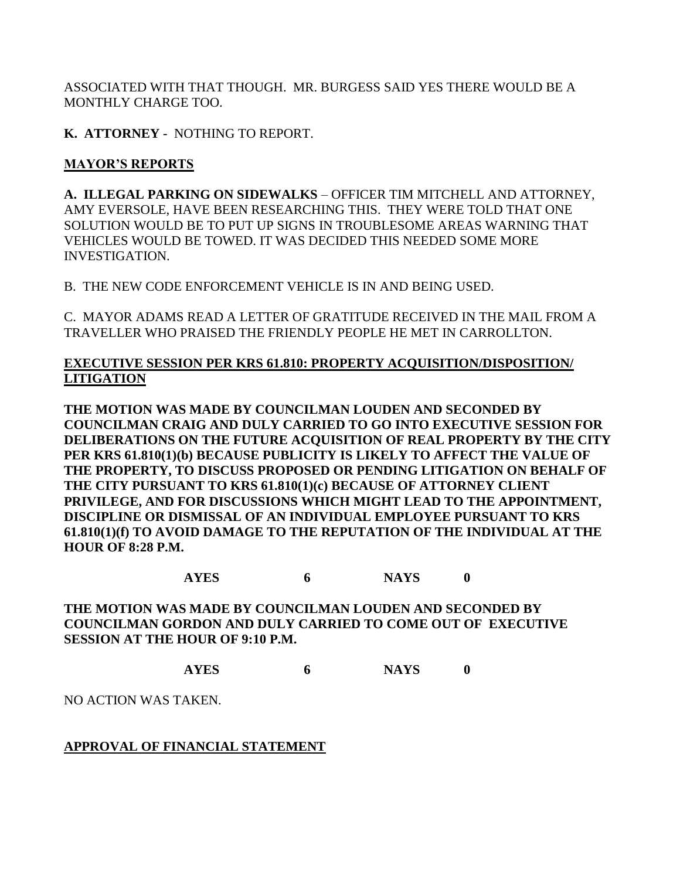ASSOCIATED WITH THAT THOUGH. MR. BURGESS SAID YES THERE WOULD BE A MONTHLY CHARGE TOO.

**K. ATTORNEY -** NOTHING TO REPORT.

# **MAYOR'S REPORTS**

**A. ILLEGAL PARKING ON SIDEWALKS** – OFFICER TIM MITCHELL AND ATTORNEY, AMY EVERSOLE, HAVE BEEN RESEARCHING THIS. THEY WERE TOLD THAT ONE SOLUTION WOULD BE TO PUT UP SIGNS IN TROUBLESOME AREAS WARNING THAT VEHICLES WOULD BE TOWED. IT WAS DECIDED THIS NEEDED SOME MORE INVESTIGATION.

B. THE NEW CODE ENFORCEMENT VEHICLE IS IN AND BEING USED.

C. MAYOR ADAMS READ A LETTER OF GRATITUDE RECEIVED IN THE MAIL FROM A TRAVELLER WHO PRAISED THE FRIENDLY PEOPLE HE MET IN CARROLLTON.

## **EXECUTIVE SESSION PER KRS 61.810: PROPERTY ACQUISITION/DISPOSITION/ LITIGATION**

**THE MOTION WAS MADE BY COUNCILMAN LOUDEN AND SECONDED BY COUNCILMAN CRAIG AND DULY CARRIED TO GO INTO EXECUTIVE SESSION FOR DELIBERATIONS ON THE FUTURE ACQUISITION OF REAL PROPERTY BY THE CITY PER KRS 61.810(1)(b) BECAUSE PUBLICITY IS LIKELY TO AFFECT THE VALUE OF THE PROPERTY, TO DISCUSS PROPOSED OR PENDING LITIGATION ON BEHALF OF THE CITY PURSUANT TO KRS 61.810(1)(c) BECAUSE OF ATTORNEY CLIENT PRIVILEGE, AND FOR DISCUSSIONS WHICH MIGHT LEAD TO THE APPOINTMENT, DISCIPLINE OR DISMISSAL OF AN INDIVIDUAL EMPLOYEE PURSUANT TO KRS 61.810(1)(f) TO AVOID DAMAGE TO THE REPUTATION OF THE INDIVIDUAL AT THE HOUR OF 8:28 P.M.**

**AYES 6 NAYS 0**

**THE MOTION WAS MADE BY COUNCILMAN LOUDEN AND SECONDED BY COUNCILMAN GORDON AND DULY CARRIED TO COME OUT OF EXECUTIVE SESSION AT THE HOUR OF 9:10 P.M.**

**AYES 6 NAYS 0**

NO ACTION WAS TAKEN.

## **APPROVAL OF FINANCIAL STATEMENT**